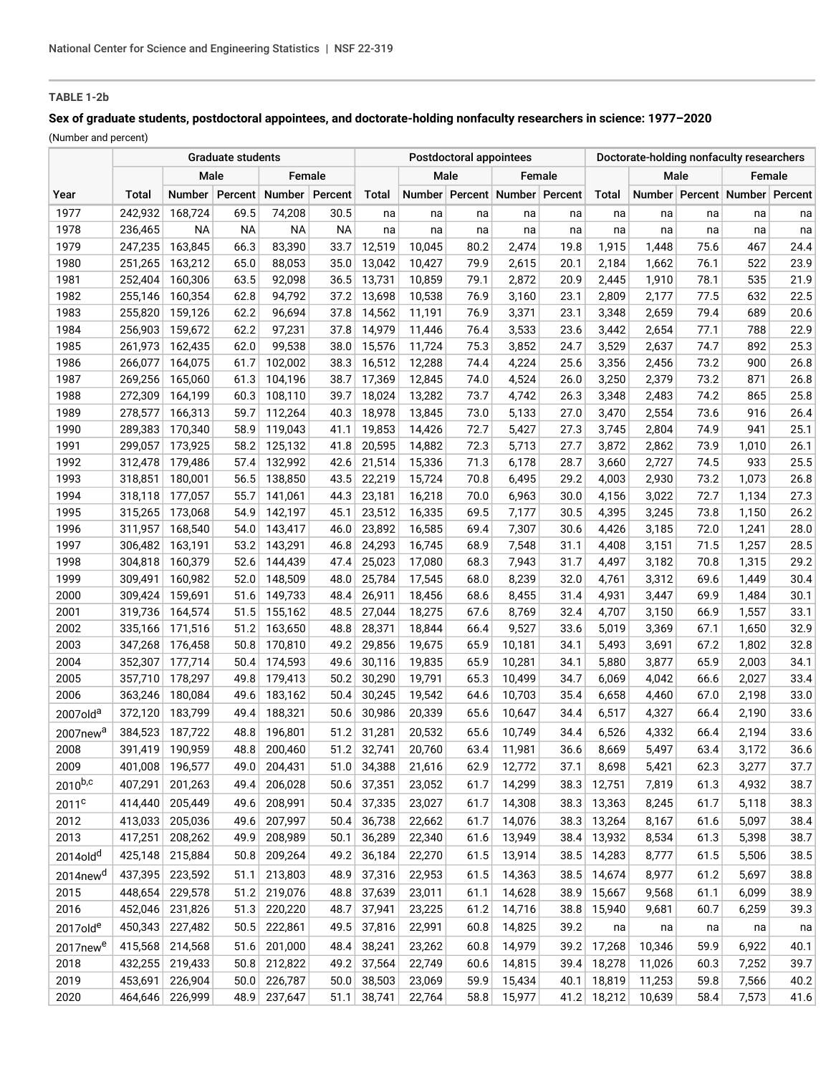# **TABLE 1-2b**

# **Sex of graduate students, postdoctoral appointees, and doctorate-holding nonfaculty researchers in science: 1977–2020**

(Number and percent)

|                      |                    |                    |                  | <b>Postdoctoral appointees</b> |              |                  | Doctorate-holding nonfaculty researchers |              |                               |              |                |                |              |                                     |              |
|----------------------|--------------------|--------------------|------------------|--------------------------------|--------------|------------------|------------------------------------------|--------------|-------------------------------|--------------|----------------|----------------|--------------|-------------------------------------|--------------|
|                      | Male               |                    |                  | Female                         |              |                  | Male                                     |              | Female                        |              |                | Male           |              | Female                              |              |
| Year                 | <b>Total</b>       |                    | Number   Percent | Number                         | Percent      | Total            |                                          |              | Number Percent Number Percent |              | Total          |                |              | Number   Percent   Number   Percent |              |
| 1977                 | 242,932            | 168,724            | 69.5             | 74,208                         | 30.5         | na               | na                                       | na           | na                            | na           | na             | na             | na           | na                                  | na           |
| 1978                 | 236,465            | <b>NA</b>          | <b>NA</b>        | <b>NA</b>                      | <b>NA</b>    | na               | na                                       | na           | na                            | na           | na             | na             | na           | na                                  | na           |
| 1979                 | 247,235            | 163,845            | 66.3             | 83,390                         | 33.7         | 12,519           | 10,045                                   | 80.2         | 2,474                         | 19.8         | 1,915          | 1,448          | 75.6         | 467                                 | 24.4         |
| 1980                 | 251,265            | 163,212            | 65.0             | 88,053                         | 35.0         | 13,042           | 10,427                                   | 79.9         | 2,615                         | 20.1         | 2,184          | 1,662          | 76.1         | 522                                 | 23.9         |
| 1981                 | 252,404            | 160,306            | 63.5             | 92,098                         | 36.5         | 13,731           | 10,859                                   | 79.1         | 2,872                         | 20.9         | 2,445          | 1,910          | 78.1         | 535                                 | 21.9         |
| 1982                 | 255,146            | 160,354            | 62.8             | 94,792                         | 37.2         | 13,698           | 10,538                                   | 76.9         | 3,160                         | 23.1         | 2,809          | 2,177          | 77.5         | 632                                 | 22.5         |
| 1983                 | 255,820            | 159,126            | 62.2             | 96,694                         | 37.8         | 14,562           | 11,191                                   | 76.9         | 3,371                         | 23.1         | 3,348          | 2,659          | 79.4         | 689                                 | 20.6         |
| 1984                 | 256,903            | 159,672            | 62.2             | 97,231                         | 37.8         | 14,979           | 11,446                                   | 76.4         | 3,533                         | 23.6         | 3,442          | 2,654          | 77.1         | 788                                 | 22.9         |
| 1985                 | 261,973            | 162,435            | 62.0             | 99,538                         | 38.0         | 15,576           | 11,724                                   | 75.3         | 3,852                         | 24.7         | 3,529          | 2,637          | 74.7         | 892                                 | 25.3         |
| 1986                 | 266,077            | 164,075            | 61.7             | 102,002                        | 38.3         | 16,512           | 12,288                                   | 74.4         | 4,224                         | 25.6         | 3,356          | 2,456          | 73.2         | 900                                 | 26.8         |
| 1987                 | 269,256            | 165,060            | 61.3             | 104,196                        | 38.7         | 17,369           | 12,845                                   | 74.0         | 4,524                         | 26.0         | 3,250          | 2,379          | 73.2         | 871                                 | 26.8         |
| 1988                 | 272,309            | 164,199            | 60.3             | 108,110                        | 39.7         | 18,024           | 13,282                                   | 73.7         | 4,742                         | 26.3         | 3,348          | 2,483          | 74.2         | 865                                 | 25.8         |
| 1989                 | 278,577            | 166,313            | 59.7             | 112,264                        | 40.3         | 18,978           | 13,845                                   | 73.0         | 5,133                         | 27.0         | 3,470          | 2,554          | 73.6         | 916                                 | 26.4         |
| 1990                 | 289,383            | 170,340            | 58.9             | 119,043                        | 41.1         | 19,853           | 14,426                                   | 72.7         | 5,427                         | 27.3         | 3,745          | 2,804          | 74.9         | 941                                 | 25.1         |
| 1991                 | 299,057            | 173,925            | 58.2             | 125,132                        | 41.8         | 20,595           | 14,882                                   | 72.3         | 5,713                         | 27.7         | 3,872          | 2,862          | 73.9         | 1,010                               | 26.1         |
| 1992                 | 312,478            | 179,486            | 57.4             | 132,992                        | 42.6         | 21,514           | 15,336                                   | 71.3         | 6,178                         | 28.7         | 3,660          | 2,727          | 74.5         | 933                                 | 25.5         |
| 1993                 | 318,851            | 180,001            | 56.5             | 138,850                        | 43.5         | 22,219           | 15,724                                   | 70.8         | 6,495                         | 29.2         | 4,003          | 2,930          | 73.2         | 1,073                               | 26.8         |
| 1994                 | 318,118            | 177,057            | 55.7             | 141,061                        | 44.3         | 23,181           | 16,218                                   | 70.0         | 6,963                         | 30.0         | 4,156          | 3,022          | 72.7         | 1,134                               | 27.3         |
| 1995                 | 315,265            | 173,068            | 54.9             | 142,197                        | 45.1         | 23,512           | 16,335                                   | 69.5         | 7,177                         | 30.5         | 4,395          | 3,245          | 73.8         | 1,150                               | 26.2         |
| 1996                 | 311,957            | 168,540            | 54.0             | 143,417                        | 46.0         | 23,892           | 16,585                                   | 69.4         | 7,307                         | 30.6         | 4,426          | 3,185          | 72.0         | 1,241                               | 28.0         |
| 1997                 | 306,482            | 163,191            | 53.2             | 143,291                        | 46.8         | 24,293           | 16,745                                   | 68.9         | 7,548                         | 31.1         | 4,408          | 3,151          | 71.5         | 1,257                               | 28.5         |
| 1998                 | 304,818            | 160,379            | 52.6             | 144,439                        | 47.4         | 25,023           | 17,080                                   | 68.3         | 7,943                         | 31.7         | 4,497          | 3,182          | 70.8         | 1,315                               | 29.2         |
| 1999                 | 309,491            | 160,982            | 52.0             | 148,509                        | 48.0         | 25,784           | 17,545                                   | 68.0         | 8,239                         | 32.0         | 4,761          | 3,312          | 69.6         | 1,449                               | 30.4         |
| 2000                 | 309,424            | 159,691            | 51.6             | 149,733                        | 48.4         | 26,911           | 18,456                                   | 68.6         | 8,455                         | 31.4         | 4,931          | 3,447          | 69.9         | 1,484                               | 30.1         |
| 2001                 | 319,736            | 164,574            | 51.5             | 155,162                        | 48.5         | 27,044           | 18,275                                   | 67.6         | 8,769                         | 32.4         | 4,707          | 3,150          | 66.9         | 1,557                               | 33.1         |
| 2002                 | 335,166            | 171,516            | 51.2             | 163,650                        | 48.8         | 28,371           | 18,844                                   | 66.4         | 9,527                         | 33.6         | 5,019          | 3,369          | 67.1         | 1,650                               | 32.9         |
| 2003                 | 347,268            | 176,458            | 50.8             | 170,810                        | 49.2         | 29,856           | 19,675                                   | 65.9         | 10,181                        | 34.1         | 5,493          | 3,691          | 67.2         | 1,802                               | 32.8         |
| 2004<br>2005         | 352,307<br>357,710 | 177,714<br>178,297 | 50.4<br>49.8     | 174,593<br>179,413             | 49.6<br>50.2 | 30,116<br>30,290 | 19,835                                   | 65.9<br>65.3 | 10,281<br>10,499              | 34.1<br>34.7 | 5,880<br>6,069 | 3,877<br>4,042 | 65.9<br>66.6 | 2,003<br>2,027                      | 34.1<br>33.4 |
| 2006                 | 363,246            | 180,084            | 49.6             | 183,162                        | 50.4         | 30,245           | 19,791<br>19,542                         | 64.6         | 10,703                        | 35.4         | 6,658          | 4,460          | 67.0         | 2,198                               | 33.0         |
|                      |                    |                    |                  | 188,321                        |              |                  |                                          |              |                               |              |                |                |              |                                     |              |
| 2007old <sup>a</sup> | 372,120            | 183,799            | 49.4             |                                | 50.6         | 30,986           | 20,339                                   | 65.6         | 10,647                        | 34.4         | 6,517          | 4,327          | 66.4         | 2,190                               | 33.6         |
| 2007new <sup>a</sup> | 384,523            | 187,722            | 48.8             | 196,801                        | 51.2         | 31,281           | 20,532                                   | 65.6         | 10,749                        | 34.4         | 6,526          | 4,332          | 66.4         | 2,194                               | 33.6         |
| 2008                 | 391,419            | 190.959            | 48.8             | 200,460                        | 51.2         | 32,741           | 20.760                                   | 63.4         | 11.981                        | 36.6         | 8,669          | 5,497          | 63.4         | 3,172                               | 36.6         |
| 2009                 | 401,008            | 196,577            | 49.0             | 204,431                        | 51.0         | 34,388           | 21,616                                   | 62.9         | 12,772                        | 37.1         | 8,698          | 5,421          | 62.3         | 3,277                               | 37.7         |
| $2010^{b,c}$         | 407,291            | 201,263            | 49.4             | 206,028                        | 50.6         | 37,351           | 23,052                                   | 61.7         | 14,299                        | 38.3         | 12,751         | 7,819          | 61.3         | 4,932                               | 38.7         |
| 2011 <sup>c</sup>    | 414,440            | 205,449            | 49.6             | 208,991                        | 50.4         | 37,335           | 23,027                                   | 61.7         | 14,308                        | 38.3         | 13,363         | 8,245          | 61.7         | 5,118                               | 38.3         |
| 2012                 | 413,033            | 205,036            | 49.6             | 207,997                        | 50.4         | 36,738           | 22,662                                   | 61.7         | 14,076                        | 38.3         | 13,264         | 8,167          | 61.6         | 5,097                               | 38.4         |
| 2013                 | 417,251            | 208,262            | 49.9             | 208,989                        | 50.1         | 36,289           | 22,340                                   | 61.6         | 13,949                        | 38.4         | 13,932         | 8,534          | 61.3         | 5,398                               | 38.7         |
| 2014old <sup>d</sup> | 425,148            | 215,884            | 50.8             | 209,264                        | 49.2         | 36,184           | 22,270                                   | 61.5         | 13,914                        | 38.5         | 14,283         | 8,777          | 61.5         | 5,506                               | 38.5         |
| 2014new <sup>d</sup> | 437,395            | 223,592            | 51.1             | 213,803                        | 48.9         | 37,316           | 22,953                                   | 61.5         | 14,363                        | 38.5         | 14,674         | 8,977          | 61.2         | 5,697                               | 38.8         |
| 2015                 | 448,654            | 229,578            | 51.2             | 219,076                        | 48.8         | 37,639           | 23,011                                   | 61.1         | 14,628                        | 38.9         | 15,667         | 9,568          | 61.1         | 6,099                               | 38.9         |
| 2016                 | 452,046            | 231,826            | 51.3             | 220,220                        | 48.7         | 37,941           | 23,225                                   | 61.2         | 14,716                        | 38.8         | 15,940         | 9,681          | 60.7         | 6,259                               | 39.3         |
| 2017old <sup>e</sup> | 450,343            | 227,482            | 50.5             | 222,861                        | 49.5         | 37,816           | 22,991                                   | 60.8         | 14,825                        | 39.2         | na             | na             | na           | na                                  | na           |
| 2017new <sup>e</sup> | 415,568            | 214,568            | 51.6             | 201,000                        | 48.4         | 38,241           | 23,262                                   | 60.8         | 14,979                        | 39.2         | 17,268         | 10,346         | 59.9         | 6,922                               | 40.1         |
| 2018                 | 432,255            | 219,433            | 50.8             | 212,822                        | 49.2         | 37,564           | 22,749                                   | 60.6         | 14,815                        | 39.4         | 18,278         | 11,026         | 60.3         | 7,252                               | 39.7         |
| 2019                 | 453,691            | 226,904            | 50.0             | 226,787                        | 50.0         | 38,503           | 23,069                                   | 59.9         | 15,434                        | 40.1         | 18,819         | 11,253         | 59.8         | 7,566                               | 40.2         |
| 2020                 | 464,646            | 226,999            | 48.9             | 237,647                        | 51.1         | 38,741           | 22,764                                   | 58.8         | 15,977                        |              | $41.2$ 18,212  | 10,639         | 58.4         | 7,573                               | 41.6         |